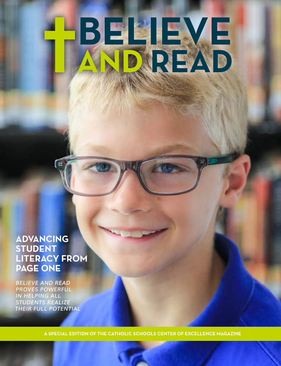# BELLEYE

**ADVANCING STUDENT LITERACY FROM PAGE ONE**

*BELIEVE AND READ PROVES POWERFUL IN HELPING ALL STUDENTS REALIZE THEIR FULL POTENTIAL*

A SPECIAL EDITION OF THE CATHOLIC SCHOOLS CENTER OF EXCELLENCE MAGAZINE

**1**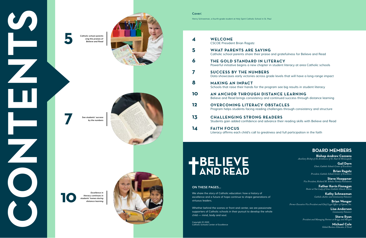**4 WELCOME** *CSCOE President Brian Ragatz* **5 WHAT PARENTS ARE SAYING** *Catholic school parents share their praise and gratefulness for Believe and Read* **6 THE GOLD STANDARD IN LITERACY** *Powerful initiative begins a new chapter in student literacy at area Catholic schools* **7 SUCCESS BY THE NUMBERS** *Data showcases early victories across grade levels that will have a long-range impact* **8 MAKING AN IMPACT** *Schools that raise their hands for the program see big results in student literacy* **10 AN ANCHOR THROUGH DISTANCE LEARNING** *Believe and Read brings consistency and continued success through distance learning* **12 OVERCOMING LITERACY OBSTACLES** *Program helps students facing reading challenges through consistency and structure* **13 CHALLENGING STRONG READERS** Students gain added confidence and advance their reading skills with Believe and Read **14 FAITH FOCUS** Literacy affirms each child's call to greatness and full participation in the faith

# **HBELIEVE**<br>TAND READ

**Cover:** 



# **BOARD MEMBERS**

**Bishop Andrew Cozzens** *Auxiliary Bishop of the Archdiocese of St. Paul & Minneapolis*

> **Gail Dorn** *Chair, Catholic Schools Center of Excellence*

> > **Brian Ragatz** *President, Catholic Schools Center of Excellence*

**Steve Hoeppner** *Vice President, Richard M. Schulze Family Foundation*

**Father Kevin Finnegan** *Pastor at Our Lady of Grace Catholic Church, Edina*

**Kathy Schneeman** *Catholic Author and Community Volunteer*

**Brian Wenger** *Former Executive Vice President and Chief Legal Officer of Optum, Inc.*

> **Lisa Anderson** *Community Volunteer*

**Steve Ryan** *President and Managing Partner at Briggs and Morgan*

> **Michael Cole**  *Global Business Educator, L'Oreal*

### **ON THESE PAGES...**

*We share the story of Catholic education: how a history of excellence and a future of hope continue to shape generations of virtuous leaders.*

*Whether behind the scenes or front and center, we are passionate supporters of Catholic schools in their pursuit to develop the whole child — mind, body and soul.*

*Copyright © 2020 Catholic Schools Center of Excellence*

**2 CONTENTS** 









*See students' success by the numbers*

*Excellence in* 

*literacy continues in students' homes during* 



*distance learning*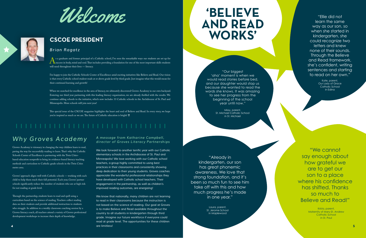



# **CSCOE PRESIDENT**

# *Brian Ragatz*

s a graduate and former principal of a Catholic school, I've seen the remarkable ways our students are set up for<br>success in body, mind and soul. That includes providing a foundation for one of the most important skills st success in body, mind and soul. That includes providing a foundation for one of the most important skills students will need throughout their lives - literacy.

I'm happy to join the Catholic Schools Center of Excellence amid exciting initiatives like Believe and Read. Our vision is that every Catholic school student reads at or above grade level by third grade. Just imagine what this would mean for their continued learning and growth!

This special issue of the CSCOE magazine highlights the heart and soul of Believe and Read. In every story, we hope you're inspired as much as we are. The future of Catholic education is bright!  $\dagger$ 

When we searched for excellence in the area of literacy, we ultimately discovered Groves Academy in our own backyard. Entering our third year partnering with this leading literacy organization, we are already thrilled with the results. We continue adding schools to the initiative, which now includes 33 Catholic schools in the Archdiocese of St. Paul and Minneapolis. More schools will join next year!

> We know that nationally, many children are not learning *to read in their classrooms because the instruction is not based on the science of reading. Our goal at Groves*  is to make Believe and Read available throughout the country to all students in kindergarten through third grade. Imagine our future workforce if everyone could *read at grade level. The opportunities for these children are limitless!*

### *A message from Katharine Campbell, director of Groves Literacy Partnerships*

We look forward to another terrific year with our Catholic *elementary schools in the Archdiocese of St. Paul and*  Minneapolis! We love working with our Catholic school *teachers, a group highly committed to using best practices in their classrooms and consistently showing deep dedication to their young students. Groves coaches appreciate the wonderful professional relationships they have developed with Catholic school teachers. Their*  engagement in the partnership, as well as children's *improved reading outcomes, are energizing!*

# *Why Groves Academy*

Groves Academy is visionary in changing the way children learn to read, paving the way for successfully reading to learn. That's why the Catholic Schools Center of Excellence is partnering with the Twin Citiesbased education nonprofit to bring its evidence-based literacy teaching methods and curriculum to Catholic grade schools in the Twin Cities metro area.

Groves' approach aligns well with Catholic schools — working with each child to help them reach their full potential. Each year, Groves' partner schools significantly reduce the number of students who are at high risk for not reading at grade level.

Through the partnership, students learn to read and spell using a curriculum based on the science of reading. Teachers collect reading data on their students and provide additional instruction to students who struggle. In addition to a weekly classroom coaching session by a Groves literacy coach, all teachers attend a variety of Groves professional development workshops to increase their depth of knowledge.

"Our biggest 'aha' moment is when we would read stories before bed, and our daughter would stop us because she wanted to read the words she knows. It was amazing to see her progress from the beginning of the school year until now."

> Missy, parent, St. Michael Catholic School in St. Michael

"Already in kindergarten, our son has great phonemic awareness. We love that strong foundation, and it's been so much fun to see him take off with this and how much progress he's made in one year."

"Ellie did not learn the same way as our son, so when she started in kindergarten, she could recognize two letters and knew none of their sounds. Through the Believe and Read framework, she's confident, writing sentences and starting to read on her own."

> Kate, parent, Our Lady of Grace Catholic School in Edina

"We cannot say enough about how grateful we are to get our son to a place where his confidence has shifted. Thanks so much to Believe and Read!"

> Krista, parent, Maternity of Mary-St. Andrew Catholic School in St. Paul

Laura, parent, St. Jerome School in Maplewood

# **'BELIEVE AND READ WORKS'**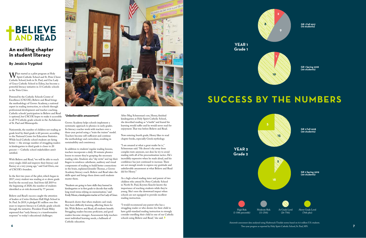# **+BELIEVE**<br>AND READ

# **An exciting chapter in student literacy**

## **By Jessica Trygstad**

What started as a pilot program at Holy<br>Catholic School, both in St. Paul, and Our Lady Catholic School, both in St. Paul, and Our Lady of Grace Catholic School in Edina, has become a powerful literacy initiative in 33 Catholic schools in the Twin Cities.

Powered by the Catholic Schools Center of Excellence (CSCOE), Believe and Read brings the methodology of Groves Academy, a national expert in reading instruction, to schools through professional development and teacher coaching. Catholic schools' participation in Believe and Read is optional, but CSCOE hopes to make it accessible to all 79 Catholic grade schools in the Archdiocese of St. Paul and Minneapolis.

Nationwide, the number of children not reading at grade level by third grade is 60 percent, according to the National Center for Education Statistics. While local Catholic school students are faring better — the average number of struggling readers in kindergarten to third grade is closer to 20 percent — Catholic school stakeholders aren't satisfied.

With Believe and Read, "we will be able to reach every single child and improve their literacy and fluency at a very young age," said Gail Dorn, one of CSCOE's founders.

In the first two years of the pilot, which began in 2017, every student was reading at or above grade level by the second year. And from fall 2019 to the beginning of 2020, the number of students identified as at-risk decreased by 77 percent.

Believe and Read's success caught the attention of leaders at Cretin-Derham Hall High School in St. Paul. In 2019, it pledged \$1 million over five years to improve literacy in Catholic grade schools through the initiative. President Frank Miley expressed that "early literacy is a transformative response" to today's educational challenges.



### **'Unbelievable amazement'**

Groves Academy helps schools implement a systematic approach to phonics in early grades. Its literacy coaches work with teachers over a three-year period using a "train the trainer" model. Teachers become self-sufficient and continue the methodology and curriculum, resulting in sustainability and consistency.

> "I would recommend any parent who has a struggling reader or who desires for their child to have gold-standard reading instruction to strongly consider enrolling their child in one of our Catholic schools using Believe and Read," she said. <sup>†</sup>

In addition to students' regular reading lessons, teachers incorporate a daily 30-minute phonics lesson to ensure they're grasping the necessary reading rules. Students also "sky write" and tap their fingers to reinforce calisthenic, auditory and visual components of reading to build better connections in the brain, explained Jennifer Thomas, a Groves Academy literacy coach. Believe and Read takes the skills apart and brings them down until students master them.

"Students are going to have skills they learned in kindergarten or in first grade to decode that really long word versus relying on memorization," said Emily Moore, a kindergarten teacher at Our Lady of Grace.

Research shows that when students can't read, they have difficulty learning, affecting them for life. With Believe and Read, all students benefit. Struggling readers become proficient, and good readers become stronger. Assessments help teachers meet individual learning needs, a hallmark of Catholic education.

After Meg Schneeman's son, Henry, finished kindergarten at Holy Spirit Catholic School, she described reading as "a battle" and feared his learning would suffer and he would never read for enjoyment. That was before Believe and Read.

Now entering fourth grade, Henry likes to read chapter books, especially Greek mythology.

"I am amazed at what a great reader he is," Schneeman said. "He doesn't shy away from complex texts anymore, nor does he try to avoid reading with all of his procrastination tactics. He's incredibly expressive when he reads aloud, and his confidence has just continued to increase. There are not enough words to express my gratitude and unbelievable amazement at what Believe and Read did for Henry."

As a high school reading tutor and parent of two children who attend St. Peter Catholic School in North St. Paul, Krysten Knecht knows the importance of reaching students while they're young. She's seen the downward impact when schools are not equipped to provide excellent reading instruction.

> Aimsweb assessment data analyzed using Hasbrouck-Tindale norms based on 6.6 million U.S. students. Two-year progress as reported by Holy Spirit Catholic School, St. Paul, MN.

**GR 1 Fall 2017 (19 students)**





**GR 1 Spring 2018 (20 students)**

# **SUCCESS BY THE NUMBERS**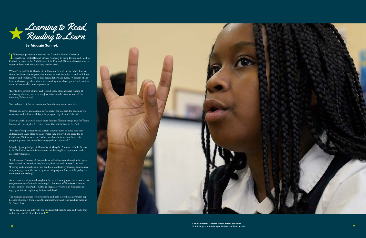

# **By Maggie Sonnek**

The unique partnership between the Catholic Schools Center of<br>Excellence (CSCOE) and Groves Academy to bring Believe and Read to<br>Catholic schools in the Archdiocese of St. Paul and Minneanolis continues to Catholic schools in the Archdiocese of St. Paul and Minneapolis continues to equip students with the tools they need to excel.

When Principal Vicki Marvin of St. Dominic School in Northfield learned about the three-year program, she jumped in with both feet — and so did her teachers and students. When they began Believe and Read, 79 percent of the first- and second-grade students were reading at or above grade level. Just four months later, teachers saw improvement.

"Eighty-five percent of first- and second-grade students were reading at or above grade level, and that was just a few months after we started the initiative," Marvin said.

She said much of the success comes from the continuous coaching.

"Unlike one day of professional development for teachers, the coaching was consistent and helped us all keep the program top of mind," she said.

Marvin said the data will attract more families. The same rings true for Terese Shimshock, principal at St. Peter Claver Catholic School in St. Paul.

"If we can equip our kids with the fundamental skills to read and write, they will be successful," Shimshock said. <sup>†</sup>



"Parents of our prospective and current students want to make sure their children have a safe place to learn, where they are loved and cared for as individuals," Shimshock said. "When we share information about this program, parents are immediately engaged and interested."

Maggie Quast, principal of Maternity of Mary-St. Andrew Catholic School in St. Paul, also shares information on this leading literacy program with prospective families.

"I tell parents it's essential that students in kindergarten through third grade learn to read so that when they're older, they can read to learn," she said. "Fluency and comprehension are tied back to effectively learning how to read at a young age. And that's exactly what this program does — it helps lay the foundation for reading."

As teachers and students throughout the archdiocese prepare for a new school year, another set of schools, including St. Ambrose of Woodbury Catholic School and St. John Paul II Catholic Preparatory School in Minneapolis, eagerly anticipate beginning Believe and Read.

The program continues to be successful and help close the achievement gap because of support from CSCOE, administrators and teachers, like those at St. Peter Claver.

*A student from St. Peter Claver Catholic School in*  **8** *St. Paul taps a word during a Believe and Read lesson.*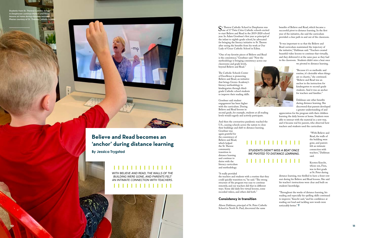St. Therese Catholic School in Deephaven was<br>
one of 17 Twin Cities Catholic schools excited<br>
to start Believe and Read in the 2019-2020 school to start Believe and Read in the 2019-2020 school year. In Adam Groebner's first year as principal of the infant to eighth-grade school, he advocated for bringing the literacy initiative to St. Therese after seeing the benefits from his work at Our Lady of Grace Catholic School in Edina.

"One of my favorite pieces of Believe and Read is the consistency," Groebner said. "Now the methodology is bringing consistency across our classrooms and grade levels, beyond Believe and Read."

The Catholic Schools Center of Excellence is pioneering Believe and Read, an initiative that brings Groves Academy's literacy methodology to kindergarten through thirdgrade Catholic school students to improve their reading skills.

Groebner said student engagement has been higher with the curriculum. During Believe and Read lessons in

second grade, for example, students at all reading levels would eagerly and actively participate.

And then the coronavirus pandemic reached the U.S., causing schools across the nation to close their buildings and shift to distance learning.

Groebner was again grateful for the consistency of Believe and Read, which helped the St. Therese community transition to distance learning and continue to thrive with the literacy curriculum and methodology.

"It really provided the teachers and students with a routine that they could quickly transition to," he said. "The strong structure of the program was easy to continue remotely, and our teachers did that in different ways. Some did daily live virtual lessons, some recorded videos, and others did both."

"Throughout the weeks of distance learning, his reading and especially his spelling skills continued to improve," Knecht said, "and his confidence at reading out loud and tackling new words were noticeably better."  $\dag$ 



STUDENTS DIDN'T MISS A BEAT ONCE WE PIVOTED TO DISTANCE LEARNING.

. . . . . . . . . . . .

### **Consistency in transition**

Alison Dahlman, principal of St. Peter Catholic School in North St. Paul, discovered the same

*Students from St. Therese Catholic School in Deephaven continue Believe and Read lessons at home during distance learning.*  **Photos courtesy of St. Therese Catholic School.** 



benefits of Believe and Read, which became a successful pivot to distance learning. In the first year of the initiative, she said the curriculum provided a clear path in and out of the classroom.

"It was important to us that the Believe and Read curriculum maintained the trajectory of the initiative," Dahlman said. "Teachers created beautiful video lessons to continue that virtually, and they delivered it at the same pace as they had in the classroom. Students didn't miss a beat once

we pivoted to distance learning.

"Because it's so methodic and routine, it's desirable when things are so chaotic," she continued. "Believe and Read was an anchor in the instruction for kindergarten to second-grade students. And it was an anchor for teachers and families."

Dahlman saw other benefits during distance learning. She discovered that parents developed a greater understanding of and

appreciation for the program with their children learning the daily lessons at home. Students were able to interact with the material in a new way, and it became real for parents, who observed how teachers and students used the curriculum.

> "With Believe and Read, the walls of the building were gone, and parents felt an intimate connection with teachers," Dahlman said.

Krysten Knecht, whose son, Finn, was in first grade at St. Peter during

distance learning, was thrilled to have a front-row seat during his Believe and Read lessons. She said his teacher's instructions were clear and built on students' knowledge.

# **Believe and Read becomes an 'anchor' during distance learning**

**By Jessica Trygstad**

# ,,,,,,,,,,,,,,

*WITH BELIEVE AND READ, THE WALLS OF THE BUILDING WERE GONE, AND PARENTS FELT AN INTIMATE CONNECTION WITH TEACHERS.*

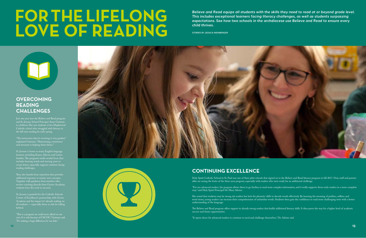# FOR THE LIFELONG LOVE OF READING

*Believe and Read equips all students with the skills they need to read at or beyond grade level. This includes exceptional learners facing literacy challenges, as well as students surpassing expectations. See how two schools in the archdiocese use Believe and Read to ensure every child thrives.*

*STORIES BY JESSICA WEINBERGER*



# **OVERCOMING READING CHALLENGES**

Just one year into the Believe and Read program and St. Jerome School Principal Anne Gattman is a believer. She saw students at her Maplewood Catholic school who struggled with literacy in the fall start reading by early spring.

"The instruction they're receiving is very guided," explained Gattman. "Maintaining consistency and structure is helping them thrive."

St. Jerome is home to many English language learners, including Karen, African and Latino families. The program's multi-modal focus that includes hearing words and moving arms to create letters especially supports students facing reading challenges.

> She noted that students may be strong site readers but lack the phonetic skills to decode words effectively. By learning the meaning of prefixes, suffixes and word stems, young readers can increase their comprehension of unfamiliar words. Students then gain the confidence to read more challenging texts with a better

They also benefit from repetition that provides additional exposure to master new concepts. Together with guidance from teachers who receive coaching directly from Groves Academy, students have the tools to succeed.

St. Jerome is grateful for the Catholic Schools Center of Excellence's partnership with Groves Academy and the impact it's already making on all students — especially those at risk for falling behind.

"This is a program we could never afford on our own. It is only because of CSCOE," Gattman said. "It's making a huge difference for our kids."





# **CONTINUING EXCELLENCE**

Holy Spirit Catholic School in St. Paul was one of three pilot schools that signed on to the Believe and Read literacy program in fall 2017. Now, staff and parents alike are seeing the fruits of the three-year program, especially with readers who were ready for an additional challenge.

"For our advanced readers, the program allows them to go further, to read more complex information, and it really supports those early readers in a more complete way," said Holy Spirit Principal Dr. Mary Adrian.

understanding of the language.

The Believe and Read program offers support to already strong readers that builds additional literacy skills. It then paves the way for a higher level of academic

success and future opportunities.

"It opens doors for advanced readers to continue to excel and challenge themselves," Dr. Adrian said.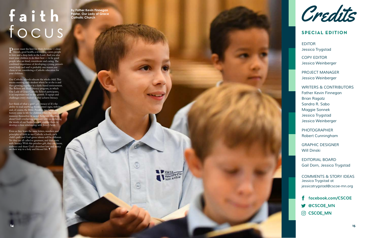

Credits

*EDITOR Jessica Trygstad* 

*COPY EDITOR Jessica Weinberger*

*PROJECT MANAGER Jessica Weinberger*

*WRITERS & CONTRIBUTORS Father Kevin Finnegan Brian Ragatz Sandra R. Sabo* Maggie Sonnek *Jessica Trygstad Jessica Weinberger*

*PHOTOGRAPHER Robert Cunningham*

*GRAPHIC DESIGNER* Will Dinski

*EDITORIAL BOARD Gail Dorn, Jessica Trygstad*

*COMMENTS & STORY IDEAS Jessica Trygstad at jessicatrygstad@cscoe-mn.org*

- f facebook.com/CSCOE
- SOCSCOE\_MN
- C CSCOE\_MN

# **SPECIAL EDITION**

# focus **faith By Father Kevin Finnegan**

**Pastor, Our Lady of Grace Catholic Church**

Parents want the best for their children — close friends, good health, a rewarding career, people to love and a deep faith in the Lord. And you also want your children to do their best — to be good people who are kind, considerate and caring. The combined importance of developing a young person's mind, body and soul is probably one reason you chose or are considering a Catholic education for your children.

Even as they learn the same letters, numbers and principles of faith in our Catholic schools, each child's path and God-given talents will be different. Yet they are all called to greatness, and that starts with literacy. With this priceless gift, they can know, embrace and share God's abundant love and mercy on their way to a holy and blessed life.  $\dagger$ 



 $\left(\frac{1}{2}\right)$ 

認

Our Catholic schools educate the whole child. This means meeting each student where he or she is and then growing together in a faith-based environment. The Believe and Read literacy program, in which Our Lady of Grace Catholic School participates, is an important tool in this growth. It equips and challenges every student as they achieve literacy.

Just think of what a great gift literacy is! It's the ability to read anything: books, street signs, websites, and, of course, the Bible. Parables, teachings and history come to life for children when they can immerse themselves in sacred Scripture. Reading about God's everlasting covenant with us, including the words of our Savior himself, enables them to develop a close relationship with Jesus Christ.